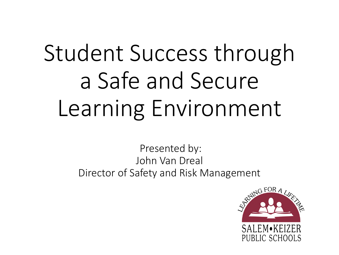# Student Success through a Safe and Secure Learning Environment

#### Presented by: John Van Dreal Director of Safety and Risk Management

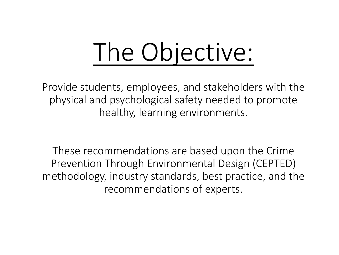# The Objective:

Provide students, employees, and stakeholders with the physical and psychological safety needed to promote healthy, learning environments.

These recommendations are based upon the Crime Prevention Through Environmental Design (CEPTED) methodology, industry standards, best practice, and the recommendations of experts.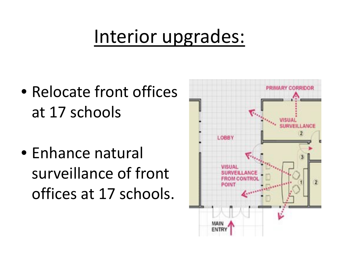### Interior upgrades:

- Relocate front offices at 17 schools
- Enhance natural surveillance of front offices at 17 schools.

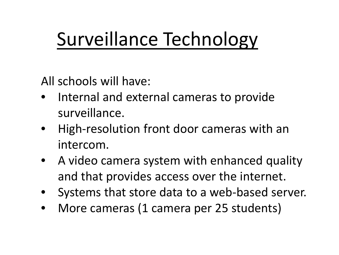# Surveillance Technology

All schools will have:

- Internal and external cameras to provide surveillance.
- High-resolution front door cameras with an intercom.
- A video camera system with enhanced quality and that provides access over the internet.
- Systems that store data to a web-based server.
- More cameras (1 camera per 25 students)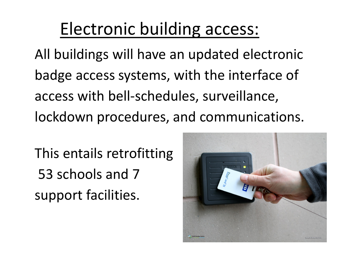#### Electronic building access:

All buildings will have an updated electronic badge access systems, with the interface of access with bell-schedules, surveillance, lockdown procedures, and communications.

This entails retrofitting 53 schools and 7 support facilities.

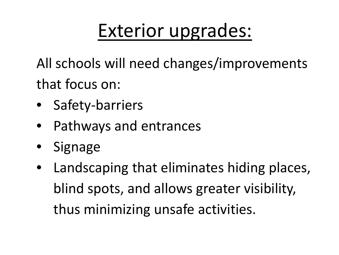# Exterior upgrades:

All schools will need changes/improvements that focus on:

- Safety-barriers
- Pathways and entrances
- Signage
- Landscaping that eliminates hiding places, blind spots, and allows greater visibility, thus minimizing unsafe activities.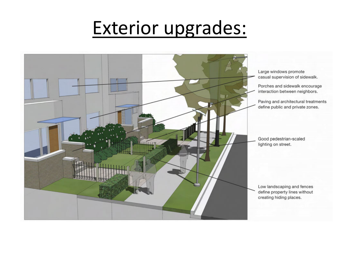### Exterior upgrades:

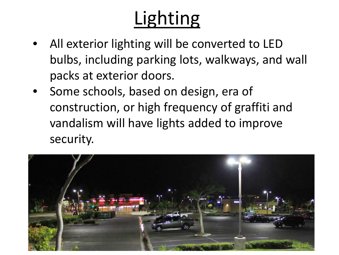# Lighting

- All exterior lighting will be converted to LED bulbs, including parking lots, walkways, and wall packs at exterior doors.
- Some schools, based on design, era of construction, or high frequency of graffiti and vandalism will have lights added to improve security.